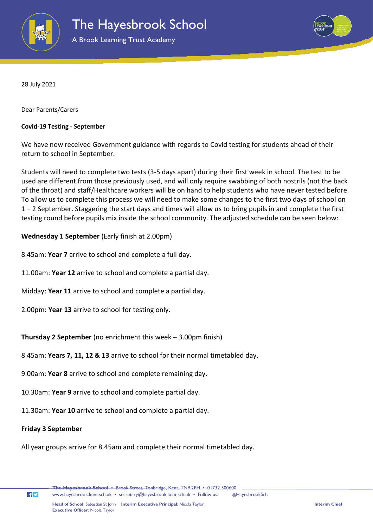

A Brook Learning Trust Academy



28 July 2021

Dear Parents/Carers

## **Covid-19 Testing - September**

We have now received Government guidance with regards to Covid testing for students ahead of their return to school in September.

Students will need to complete two tests (3-5 days apart) during their first week in school. The test to be used are different from those previously used, and will only require swabbing of both nostrils (not the back of the throat) and staff/Healthcare workers will be on hand to help students who have never tested before. To allow us to complete this process we will need to make some changes to the first two days of school on 1 – 2 September. Staggering the start days and times will allow us to bring pupils in and complete the first testing round before pupils mix inside the school community. The adjusted schedule can be seen below:

## **Wednesday 1 September** (Early finish at 2.00pm)

- 8.45am: **Year 7** arrive to school and complete a full day.
- 11.00am: **Year 12** arrive to school and complete a partial day.
- Midday: **Year 11** arrive to school and complete a partial day.
- 2.00pm: **Year 13** arrive to school for testing only.

**Thursday 2 September** (no enrichment this week – 3.00pm finish)

- 8.45am: **Years 7, 11, 12 & 13** arrive to school for their normal timetabled day.
- 9.00am: **Year 8** arrive to school and complete remaining day.
- 10.30am: **Year 9** arrive to school and complete partial day.
- 11.30am: **Year 10** arrive to school and complete a partial day.

## **Friday 3 September**

 $f$  $\blacktriangleright$ 

All year groups arrive for 8.45am and complete their normal timetabled day.

**The Hayesbrook School** • Brook Street, Tonbridge, Kent. TN9 2PH • 01732 500600

[www.hayesbrook.kent.sch.uk](http://www.hayesbrook.kent.sch.uk/) • [secretary@hayesbrook.kent.sch.uk](mailto:secretary@hayesbrook.kent.sch.uk) • Follow us: @HayesbrookSch